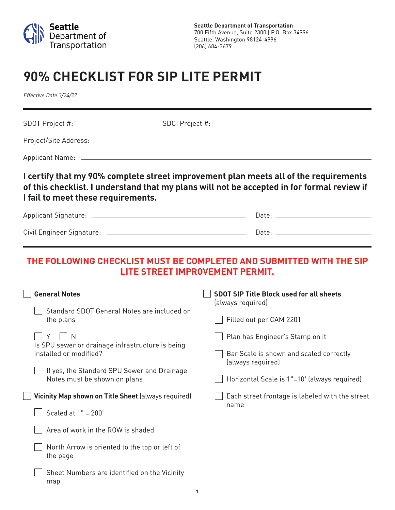

## **90% CHECKLIST FOR SIP LITE PERMIT**

*Effective Date 3/24/22*

| I fail to meet these requirements.                                                                                                   | I certify that my 90% complete street improvement plan meets all of the requirements<br>of this checklist. I understand that my plans will not be accepted in for formal review if |
|--------------------------------------------------------------------------------------------------------------------------------------|------------------------------------------------------------------------------------------------------------------------------------------------------------------------------------|
|                                                                                                                                      |                                                                                                                                                                                    |
|                                                                                                                                      |                                                                                                                                                                                    |
| <b>General Notes</b>                                                                                                                 | THE FOLLOWING CHECKLIST MUST BE COMPLETED AND SUBMITTED WITH THE SIP<br>LITE STREET IMPROVEMENT PERMIT.<br><b>SDOT SIP Title Block used for all sheets</b>                         |
| Standard SDOT General Notes are included on<br>the plans                                                                             | (always required)<br>Filled out per CAM 2201                                                                                                                                       |
| Y     N<br>Is SPU sewer or drainage infrastructure is being<br>installed or modified?<br>If yes, the Standard SPU Sewer and Drainage | Plan has Engineer's Stamp on it<br>Bar Scale is shown and scaled correctly<br>(always required)                                                                                    |
| Notes must be shown on plans<br>Vicinity Map shown on Title Sheet (always required)<br>Scaled at 1" = 200'                           | Horizontal Scale is 1"=10' (always required)<br>Each street frontage is labeled with the street<br>name                                                                            |
| Area of work in the ROW is shaded<br>North Arrow is oriented to the top or left of<br>the page                                       |                                                                                                                                                                                    |
| Sheet Numbers are identified on the Vicinity<br>map                                                                                  |                                                                                                                                                                                    |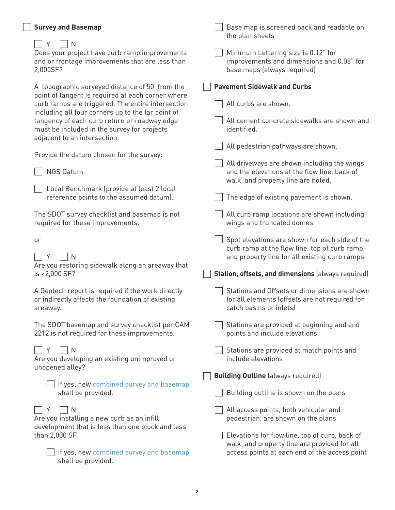| <b>Survey and Basemap</b>                                                                                                                                                                                                                                                                                                                                                                                                                                                                                                                             | Base map is screened back and readable on<br>the plan sheets                                                                                                                                                                                                                                                                                                                                  |
|-------------------------------------------------------------------------------------------------------------------------------------------------------------------------------------------------------------------------------------------------------------------------------------------------------------------------------------------------------------------------------------------------------------------------------------------------------------------------------------------------------------------------------------------------------|-----------------------------------------------------------------------------------------------------------------------------------------------------------------------------------------------------------------------------------------------------------------------------------------------------------------------------------------------------------------------------------------------|
| Y<br>N<br>Does your project have curb ramp improvements<br>and or frontage improvements that are less than<br>2,000SF?                                                                                                                                                                                                                                                                                                                                                                                                                                | Minimum Lettering size is 0.12" for<br>improvements and dimensions and 0.08" for<br>base maps (always required)                                                                                                                                                                                                                                                                               |
| A topographic surveyed distance of 50' from the<br>point of tangent is required at each corner where<br>curb ramps are triggered. The entire intersection<br>including all four corners up to the far point of<br>tangency of each curb return or roadway edge<br>must be included in the survey for projects<br>adjacent to an intersection.<br>Provide the datum chosen for the survey:<br><b>NGS Datum</b><br>Local Benchmark (provide at least 2 local<br>reference points to the assumed datum).<br>The SDOT survey checklist and basemap is not | <b>Pavement Sidewalk and Curbs</b><br>All curbs are shown.<br>All cement concrete sidewalks are shown and<br>identified.<br>All pedestrian pathways are shown.<br>All driveways are shown including the wings<br>and the elevations at the flow line, back of<br>walk, and property line are noted.<br>The edge of existing pavement is shown.<br>All curb ramp locations are shown including |
| required for these improvements.<br>or<br>N<br>Are you restoring sidewalk along an areaway that<br>is <2,000 SF?                                                                                                                                                                                                                                                                                                                                                                                                                                      | wings and truncated domes.<br>Spot elevations are shown for each side of the<br>curb ramp at the flow line, top of curb ramp,<br>and property line for all existing curb ramps.<br>Station, offsets, and dimensions (always required)                                                                                                                                                         |
| A Geotech report is required if the work directly<br>or indirectly affects the foundation of existing<br>areaway.                                                                                                                                                                                                                                                                                                                                                                                                                                     | Stations and Offsets or dimensions are shown<br>for all elements (offsets are not required for<br>catch basins or inlets)                                                                                                                                                                                                                                                                     |
| The SDOT basemap and survey checklist per CAM<br>2212 is not required for these improvements.                                                                                                                                                                                                                                                                                                                                                                                                                                                         | Stations are provided at beginning and end<br>points and include elevations                                                                                                                                                                                                                                                                                                                   |
| N<br>Y<br>Are you developing an existing unimproved or<br>unopened alley?                                                                                                                                                                                                                                                                                                                                                                                                                                                                             | Stations are provided at match points and<br>include elevations                                                                                                                                                                                                                                                                                                                               |
|                                                                                                                                                                                                                                                                                                                                                                                                                                                                                                                                                       | <b>Building Outline</b> (always required)                                                                                                                                                                                                                                                                                                                                                     |
| If yes, new combined survey and basemap<br>shall be provided.                                                                                                                                                                                                                                                                                                                                                                                                                                                                                         | Building outline is shown on the plans                                                                                                                                                                                                                                                                                                                                                        |
| N<br>Y<br>Are you installing a new curb as an infill<br>development that is less than one block and less<br>than 2,000 SF.<br>If yes, new combined survey and basemap<br>shall be provided.                                                                                                                                                                                                                                                                                                                                                           | All access points, both vehicular and<br>pedestrian, are shown on the plans<br>Elevations for flow line, top of curb, back of<br>walk, and property line are provided for all<br>access points at each end of the access point                                                                                                                                                                |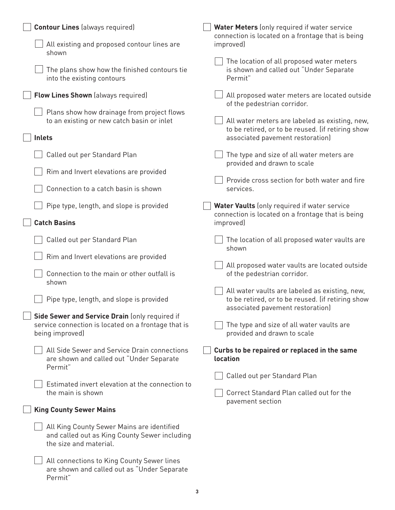| <b>Contour Lines (always required)</b>                                                                                   | Water Meters (only required if water service<br>connection is located on a frontage that is being                                       |
|--------------------------------------------------------------------------------------------------------------------------|-----------------------------------------------------------------------------------------------------------------------------------------|
| All existing and proposed contour lines are<br>shown                                                                     | improved)                                                                                                                               |
| The plans show how the finished contours tie<br>into the existing contours                                               | The location of all proposed water meters<br>is shown and called out "Under Separate<br>Permit"                                         |
| <b>Flow Lines Shown</b> (always required)                                                                                | All proposed water meters are located outside<br>of the pedestrian corridor.                                                            |
| Plans show how drainage from project flows<br>to an existing or new catch basin or inlet                                 | All water meters are labeled as existing, new,<br>to be retired, or to be reused. (if retiring show                                     |
| <b>Inlets</b>                                                                                                            | associated pavement restoration)                                                                                                        |
| Called out per Standard Plan                                                                                             | The type and size of all water meters are<br>provided and drawn to scale                                                                |
| Rim and Invert elevations are provided                                                                                   | Provide cross section for both water and fire                                                                                           |
| Connection to a catch basin is shown                                                                                     | services.                                                                                                                               |
| Pipe type, length, and slope is provided                                                                                 | Water Vaults (only required if water service                                                                                            |
| <b>Catch Basins</b>                                                                                                      | connection is located on a frontage that is being<br>improved)                                                                          |
| Called out per Standard Plan                                                                                             | The location of all proposed water vaults are<br>shown                                                                                  |
| Rim and Invert elevations are provided                                                                                   |                                                                                                                                         |
| Connection to the main or other outfall is<br>shown                                                                      | All proposed water vaults are located outside<br>of the pedestrian corridor.                                                            |
| Pipe type, length, and slope is provided                                                                                 | All water vaults are labeled as existing, new,<br>to be retired, or to be reused. (if retiring show<br>associated pavement restoration) |
| Side Sewer and Service Drain (only required if<br>service connection is located on a frontage that is<br>being improved) | The type and size of all water vaults are<br>provided and drawn to scale                                                                |
| All Side Sewer and Service Drain connections<br>are shown and called out "Under Separate<br>Permit"                      | Curbs to be repaired or replaced in the same<br>location                                                                                |
|                                                                                                                          | Called out per Standard Plan                                                                                                            |
| Estimated invert elevation at the connection to<br>the main is shown                                                     | Correct Standard Plan called out for the<br>pavement section                                                                            |
| <b>King County Sewer Mains</b>                                                                                           |                                                                                                                                         |
| All King County Sewer Mains are identified<br>and called out as King County Sewer including<br>the size and material.    |                                                                                                                                         |
| All connections to King County Sewer lines<br>are shown and called out as "Under Separate<br>Permit"                     |                                                                                                                                         |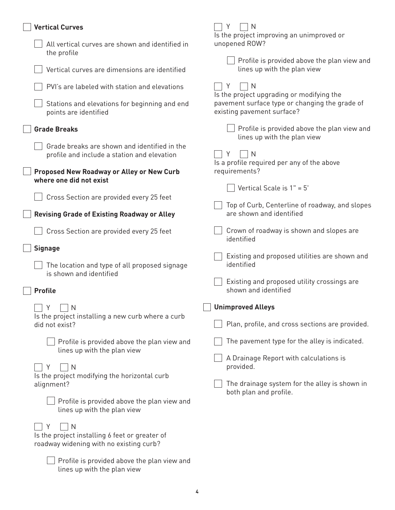| <b>Vertical Curves</b>                                                                                         | Y<br>N<br>Is the project improving an unimproved or                                                                       |
|----------------------------------------------------------------------------------------------------------------|---------------------------------------------------------------------------------------------------------------------------|
| All vertical curves are shown and identified in<br>the profile                                                 | unopened ROW?                                                                                                             |
| Vertical curves are dimensions are identified                                                                  | Profile is provided above the plan view and<br>lines up with the plan view                                                |
| PVI's are labeled with station and elevations                                                                  | Y<br>N                                                                                                                    |
| Stations and elevations for beginning and end<br>points are identified                                         | Is the project upgrading or modifying the<br>pavement surface type or changing the grade of<br>existing pavement surface? |
| <b>Grade Breaks</b>                                                                                            | Profile is provided above the plan view and<br>lines up with the plan view                                                |
| Grade breaks are shown and identified in the<br>profile and include a station and elevation                    | Υ<br>N<br>Is a profile required per any of the above                                                                      |
| Proposed New Roadway or Alley or New Curb<br>where one did not exist                                           | requirements?                                                                                                             |
|                                                                                                                | Vertical Scale is $1" = 5'$                                                                                               |
| Cross Section are provided every 25 feet<br><b>Revising Grade of Existing Roadway or Alley</b>                 | Top of Curb, Centerline of roadway, and slopes<br>are shown and identified                                                |
| Cross Section are provided every 25 feet                                                                       | Crown of roadway is shown and slopes are<br>identified                                                                    |
| <b>Signage</b>                                                                                                 | Existing and proposed utilities are shown and                                                                             |
| The location and type of all proposed signage<br>is shown and identified                                       | identified                                                                                                                |
| <b>Profile</b>                                                                                                 | Existing and proposed utility crossings are<br>shown and identified                                                       |
| $\top$ Y<br>$\Box N$                                                                                           | <b>Unimproved Alleys</b>                                                                                                  |
| Is the project installing a new curb where a curb<br>did not exist?                                            | Plan, profile, and cross sections are provided.                                                                           |
| Profile is provided above the plan view and<br>lines up with the plan view                                     | The pavement type for the alley is indicated.                                                                             |
| Y<br>N                                                                                                         | A Drainage Report with calculations is<br>provided.                                                                       |
| Is the project modifying the horizontal curb<br>alignment?                                                     | The drainage system for the alley is shown in<br>both plan and profile.                                                   |
| Profile is provided above the plan view and<br>lines up with the plan view                                     |                                                                                                                           |
| Υ<br>$\mathsf{N}$<br>Is the project installing 6 feet or greater of<br>roadway widening with no existing curb? |                                                                                                                           |
| Profile is provided above the plan view and<br>lines up with the plan view                                     |                                                                                                                           |

**4**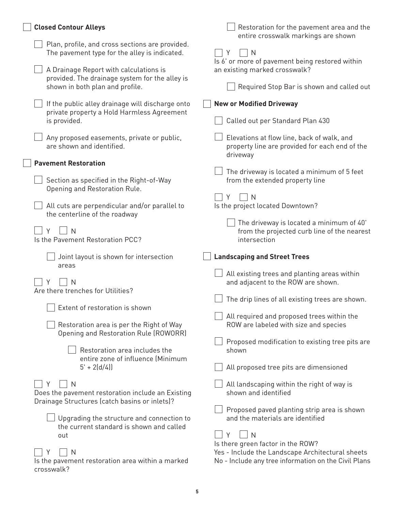| <b>Closed Contour Alleys</b>                                                                     | Restoration for the pavement area and the<br>entire crosswalk markings are shown                                                              |
|--------------------------------------------------------------------------------------------------|-----------------------------------------------------------------------------------------------------------------------------------------------|
| Plan, profile, and cross sections are provided.<br>The pavement type for the alley is indicated. | Y<br>N<br>Is 6' or more of pavement being restored within                                                                                     |
| A Drainage Report with calculations is<br>provided. The drainage system for the alley is         | an existing marked crosswalk?                                                                                                                 |
| shown in both plan and profile.                                                                  | Required Stop Bar is shown and called out                                                                                                     |
| If the public alley drainage will discharge onto<br>private property a Hold Harmless Agreement   | <b>New or Modified Driveway</b>                                                                                                               |
| is provided.                                                                                     | Called out per Standard Plan 430                                                                                                              |
| Any proposed easements, private or public,<br>are shown and identified.                          | Elevations at flow line, back of walk, and<br>property line are provided for each end of the<br>driveway                                      |
| <b>Pavement Restoration</b>                                                                      |                                                                                                                                               |
| Section as specified in the Right-of-Way                                                         | The driveway is located a minimum of 5 feet<br>from the extended property line                                                                |
| Opening and Restoration Rule.                                                                    | N<br>Y                                                                                                                                        |
| All cuts are perpendicular and/or parallel to<br>the centerline of the roadway                   | Is the project located Downtown?                                                                                                              |
| V<br>$\mathsf{N}$<br>Is the Pavement Restoration PCC?                                            | The driveway is located a minimum of 40'<br>from the projected curb line of the nearest<br>intersection                                       |
|                                                                                                  |                                                                                                                                               |
|                                                                                                  |                                                                                                                                               |
| Joint layout is shown for intersection                                                           | <b>Landscaping and Street Trees</b>                                                                                                           |
| areas                                                                                            | All existing trees and planting areas within                                                                                                  |
| N                                                                                                | and adjacent to the ROW are shown.                                                                                                            |
| Are there trenches for Utilities?                                                                | The drip lines of all existing trees are shown.                                                                                               |
| $\Box$ Extent of restoration is shown                                                            |                                                                                                                                               |
|                                                                                                  | All required and proposed trees within the                                                                                                    |
| Restoration area is per the Right of Way<br>Opening and Restoration Rule (ROWORR)                | ROW are labeled with size and species                                                                                                         |
|                                                                                                  | Proposed modification to existing tree pits are                                                                                               |
| Restoration area includes the<br>entire zone of influence (Minimum                               | shown                                                                                                                                         |
| $5' + 2(d/4)$                                                                                    | All proposed tree pits are dimensioned                                                                                                        |
| N<br>Does the pavement restoration include an Existing                                           | All landscaping within the right of way is<br>shown and identified                                                                            |
| Drainage Structures (catch basins or inlets)?                                                    |                                                                                                                                               |
| Upgrading the structure and connection to                                                        | Proposed paved planting strip area is shown<br>and the materials are identified                                                               |
| the current standard is shown and called                                                         |                                                                                                                                               |
| out                                                                                              | Y<br>N                                                                                                                                        |
| N<br>Is the pavement restoration area within a marked                                            | Is there green factor in the ROW?<br>Yes - Include the Landscape Architectural sheets<br>No - Include any tree information on the Civil Plans |